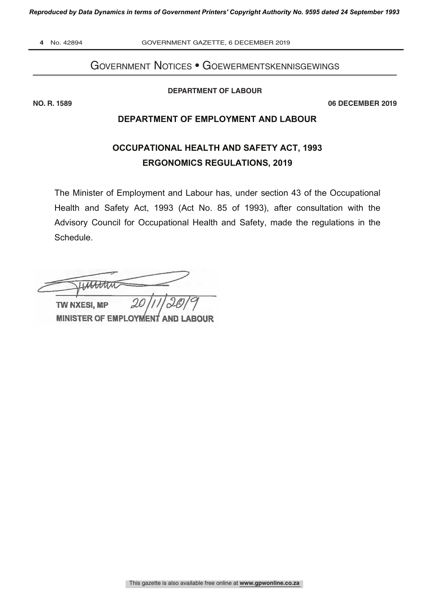**4** No. 42894 GOVERNMENT GAZETTE, 6 DECEMBER 2019

## Government Notices • Goewermentskennisgewings

**DEPARTMENT OF LABOUR**

**NO. R. 1589 06 DECEMBER 2019**

## **DEPARTMENT OF EMPLOYMENT AND LABOUR**

## **OCCUPATIONAL HEALTH AND SAFETY ACT, 1993 ERGONOMICS REGULATIONS, 2019**

The Minister of Employment and Labour has, under section 43 of the Occupational Health and Safety Act, 1993 (Act No. 85 of 1993), after consultation with the Advisory Council for Occupational Health and Safety, made the regulations in the Schedule.

 $\frac{20}{11/20/9}$ LASTAN

TW NXESI, MP **MINISTER OF EMPLOYMENT AND LABOUR**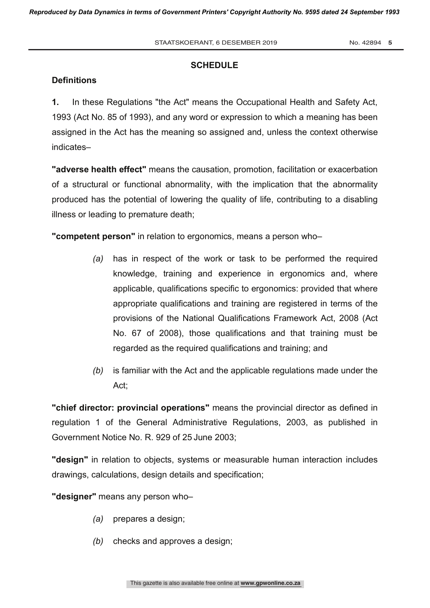#### **SCHEDULE**

#### **Definitions**

**1.** In these Regulations "the Act" means the Occupational Health and Safety Act, 1993 (Act No. 85 of 1993), and any word or expression to which a meaning has been assigned in the Act has the meaning so assigned and, unless the context otherwise indicates–

**"adverse health effect"** means the causation, promotion, facilitation or exacerbation of a structural or functional abnormality, with the implication that the abnormality produced has the potential of lowering the quality of life, contributing to a disabling illness or leading to premature death;

**"competent person"** in relation to ergonomics, means a person who–

- *(a)* has in respect of the work or task to be performed the required knowledge, training and experience in ergonomics and, where applicable, qualifications specific to ergonomics: provided that where appropriate qualifications and training are registered in terms of the provisions of the National Qualifications Framework Act, 2008 (Act No. 67 of 2008), those qualifications and that training must be regarded as the required qualifications and training; and
- *(b)* is familiar with the Act and the applicable regulations made under the Act;

**"chief director: provincial operations"** means the provincial director as defined in regulation 1 of the General Administrative Regulations, 2003, as published in Government Notice No. R. 929 of 25 June 2003;

**"design"** in relation to objects, systems or measurable human interaction includes drawings, calculations, design details and specification;

**"designer"** means any person who–

- *(a)* prepares a design;
- *(b)* checks and approves a design;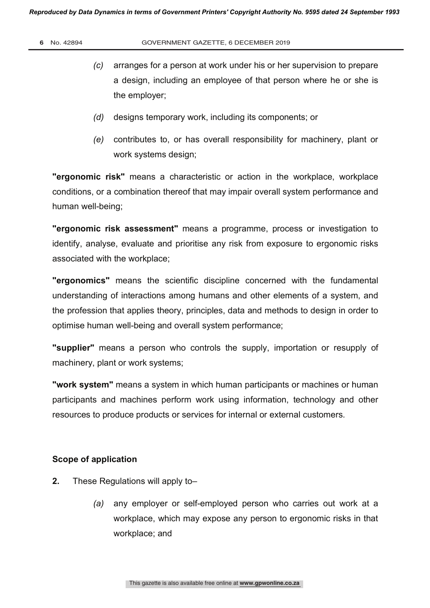- *(c)* arranges for a person at work under his or her supervision to prepare a design, including an employee of that person where he or she is the employer;
- *(d)* designs temporary work, including its components; or
- *(e)* contributes to, or has overall responsibility for machinery, plant or work systems design;

**"ergonomic risk"** means a characteristic or action in the workplace, workplace conditions, or a combination thereof that may impair overall system performance and human well-being;

**"ergonomic risk assessment"** means a programme, process or investigation to identify, analyse, evaluate and prioritise any risk from exposure to ergonomic risks associated with the workplace;

**"ergonomics"** means the scientific discipline concerned with the fundamental understanding of interactions among humans and other elements of a system, and the profession that applies theory, principles, data and methods to design in order to optimise human well-being and overall system performance;

**"supplier"** means a person who controls the supply, importation or resupply of machinery, plant or work systems;

**"work system"** means a system in which human participants or machines or human participants and machines perform work using information, technology and other resources to produce products or services for internal or external customers.

### **Scope of application**

- **2.** These Regulations will apply to–
	- *(a)* any employer or self-employed person who carries out work at a workplace, which may expose any person to ergonomic risks in that workplace; and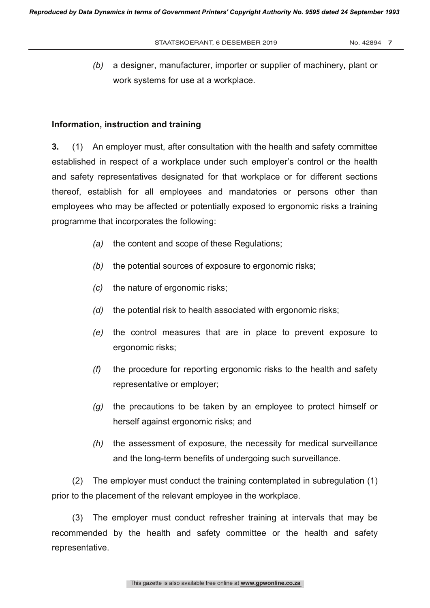*(b)* a designer, manufacturer, importer or supplier of machinery, plant or work systems for use at a workplace.

#### **Information, instruction and training**

**3.** (1) An employer must, after consultation with the health and safety committee established in respect of a workplace under such employer's control or the health and safety representatives designated for that workplace or for different sections thereof, establish for all employees and mandatories or persons other than employees who may be affected or potentially exposed to ergonomic risks a training programme that incorporates the following:

- *(a)* the content and scope of these Regulations;
- *(b)* the potential sources of exposure to ergonomic risks;
- *(c)* the nature of ergonomic risks;
- *(d)* the potential risk to health associated with ergonomic risks;
- *(e)* the control measures that are in place to prevent exposure to ergonomic risks;
- *(f)* the procedure for reporting ergonomic risks to the health and safety representative or employer;
- *(g)* the precautions to be taken by an employee to protect himself or herself against ergonomic risks; and
- *(h)* the assessment of exposure, the necessity for medical surveillance and the long-term benefits of undergoing such surveillance.

(2) The employer must conduct the training contemplated in subregulation (1) prior to the placement of the relevant employee in the workplace.

(3) The employer must conduct refresher training at intervals that may be recommended by the health and safety committee or the health and safety representative.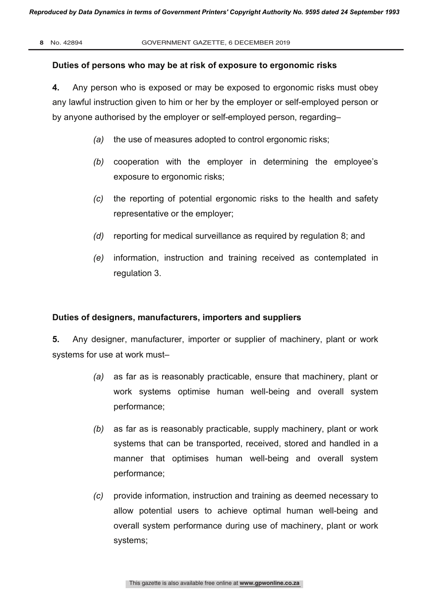#### **Duties of persons who may be at risk of exposure to ergonomic risks**

**4.** Any person who is exposed or may be exposed to ergonomic risks must obey any lawful instruction given to him or her by the employer or self-employed person or by anyone authorised by the employer or self-employed person, regarding–

- *(a)* the use of measures adopted to control ergonomic risks;
- *(b)* cooperation with the employer in determining the employee's exposure to ergonomic risks;
- *(c)* the reporting of potential ergonomic risks to the health and safety representative or the employer;
- *(d)* reporting for medical surveillance as required by regulation 8; and
- *(e)* information, instruction and training received as contemplated in regulation 3.

#### **Duties of designers, manufacturers, importers and suppliers**

**5.** Any designer, manufacturer, importer or supplier of machinery, plant or work systems for use at work must–

- *(a)* as far as is reasonably practicable, ensure that machinery, plant or work systems optimise human well-being and overall system performance;
- *(b)* as far as is reasonably practicable, supply machinery, plant or work systems that can be transported, received, stored and handled in a manner that optimises human well-being and overall system performance;
- *(c)* provide information, instruction and training as deemed necessary to allow potential users to achieve optimal human well-being and overall system performance during use of machinery, plant or work systems;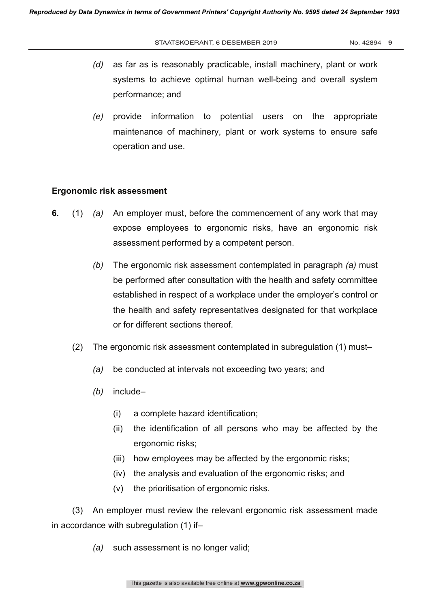- *(d)* as far as is reasonably practicable, install machinery, plant or work systems to achieve optimal human well-being and overall system performance; and
- *(e)* provide information to potential users on the appropriate maintenance of machinery, plant or work systems to ensure safe operation and use.

#### **Ergonomic risk assessment**

- **6.** (1) *(a)* An employer must, before the commencement of any work that may expose employees to ergonomic risks, have an ergonomic risk assessment performed by a competent person.
	- *(b)* The ergonomic risk assessment contemplated in paragraph *(a)* must be performed after consultation with the health and safety committee established in respect of a workplace under the employer's control or the health and safety representatives designated for that workplace or for different sections thereof.
	- (2) The ergonomic risk assessment contemplated in subregulation (1) must–
		- *(a)* be conducted at intervals not exceeding two years; and
		- *(b)* include–
			- (i) a complete hazard identification;
			- (ii) the identification of all persons who may be affected by the ergonomic risks;
			- (iii) how employees may be affected by the ergonomic risks;
			- (iv) the analysis and evaluation of the ergonomic risks; and
			- (v) the prioritisation of ergonomic risks.

(3) An employer must review the relevant ergonomic risk assessment made in accordance with subregulation (1) if–

*(a)* such assessment is no longer valid;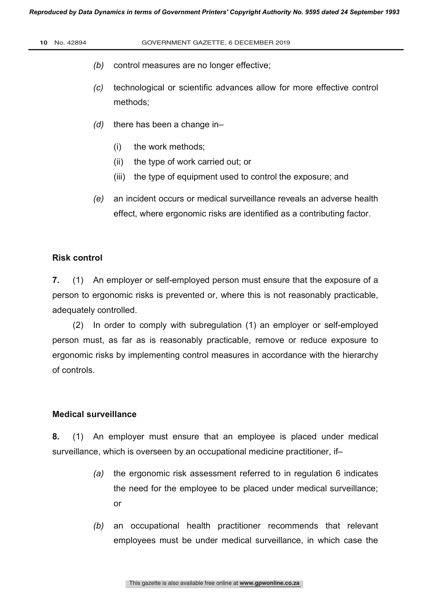- *(b)* control measures are no longer effective;
- *(c)* technological or scientific advances allow for more effective control methods;
- *(d)* there has been a change in–
	- (i) the work methods;
	- (ii) the type of work carried out; or
	- (iii) the type of equipment used to control the exposure; and
- *(e)* an incident occurs or medical surveillance reveals an adverse health effect, where ergonomic risks are identified as a contributing factor.

#### **Risk control**

**7.** (1) An employer or self-employed person must ensure that the exposure of a person to ergonomic risks is prevented or, where this is not reasonably practicable, adequately controlled.

(2) In order to comply with subregulation (1) an employer or self-employed person must, as far as is reasonably practicable, remove or reduce exposure to ergonomic risks by implementing control measures in accordance with the hierarchy of controls.

#### **Medical surveillance**

**8.** (1) An employer must ensure that an employee is placed under medical surveillance, which is overseen by an occupational medicine practitioner, if–

- *(a)* the ergonomic risk assessment referred to in regulation 6 indicates the need for the employee to be placed under medical surveillance; or
- *(b)* an occupational health practitioner recommends that relevant employees must be under medical surveillance, in which case the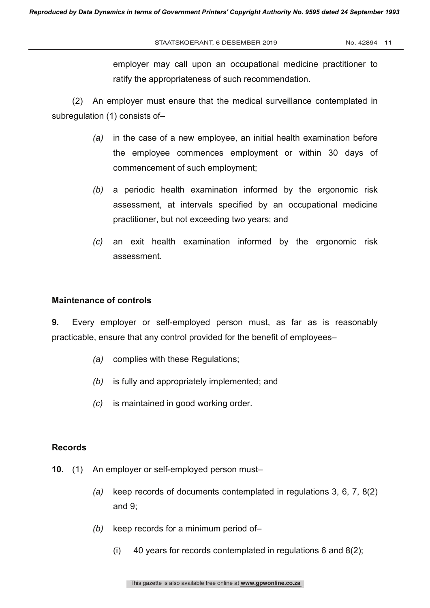employer may call upon an occupational medicine practitioner to ratify the appropriateness of such recommendation.

(2) An employer must ensure that the medical surveillance contemplated in subregulation (1) consists of–

- *(a)* in the case of a new employee, an initial health examination before the employee commences employment or within 30 days of commencement of such employment;
- *(b)* a periodic health examination informed by the ergonomic risk assessment, at intervals specified by an occupational medicine practitioner, but not exceeding two years; and
- *(c)* an exit health examination informed by the ergonomic risk assessment.

#### **Maintenance of controls**

**9.** Every employer or self-employed person must, as far as is reasonably practicable, ensure that any control provided for the benefit of employees–

- *(a)* complies with these Regulations;
- *(b)* is fully and appropriately implemented; and
- *(c)* is maintained in good working order.

#### **Records**

- **10.** (1) An employer or self-employed person must–
	- *(a)* keep records of documents contemplated in regulations 3, 6, 7, 8(2) and 9;
	- *(b)* keep records for a minimum period of–
		- (i) 40 years for records contemplated in regulations 6 and 8(2);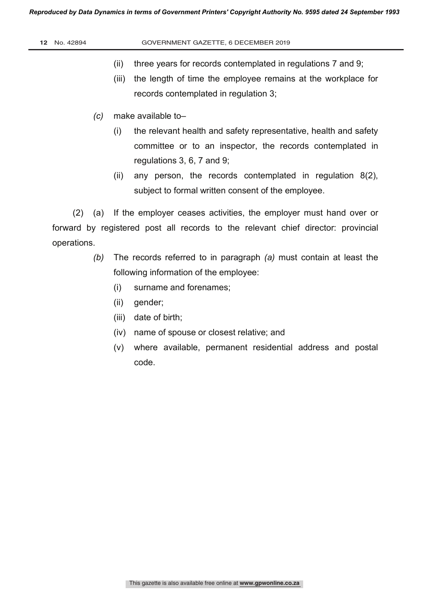#### **12** No. 42894 GOVERNMENT GAZETTE, 6 DECEMBER 2019

- (ii) three years for records contemplated in regulations 7 and 9;
- (iii) the length of time the employee remains at the workplace for records contemplated in regulation 3;
- *(c)* make available to–
	- (i) the relevant health and safety representative, health and safety committee or to an inspector, the records contemplated in regulations 3, 6, 7 and 9;
	- (ii) any person, the records contemplated in regulation 8(2), subject to formal written consent of the employee.

(2) (a) If the employer ceases activities, the employer must hand over or forward by registered post all records to the relevant chief director: provincial operations.

- *(b)* The records referred to in paragraph *(a)* must contain at least the following information of the employee:
	- (i) surname and forenames;
	- (ii) gender;
	- (iii) date of birth;
	- (iv) name of spouse or closest relative; and
	- (v) where available, permanent residential address and postal code.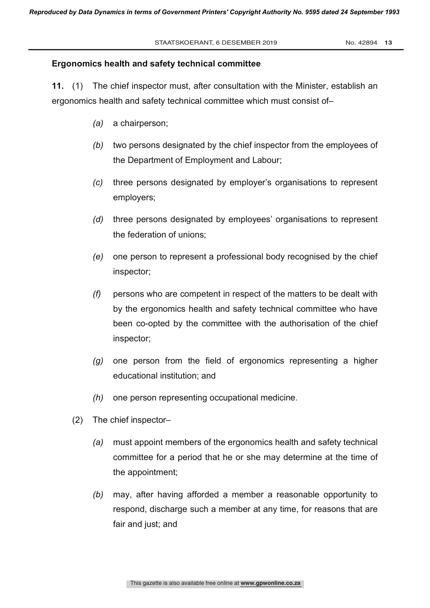#### **Ergonomics health and safety technical committee**

**11.** (1) The chief inspector must, after consultation with the Minister, establish an ergonomics health and safety technical committee which must consist of–

- *(a)* a chairperson;
- *(b)* two persons designated by the chief inspector from the employees of the Department of Employment and Labour;
- *(c)* three persons designated by employer's organisations to represent employers;
- *(d)* three persons designated by employees' organisations to represent the federation of unions;
- *(e)* one person to represent a professional body recognised by the chief inspector;
- *(f)* persons who are competent in respect of the matters to be dealt with by the ergonomics health and safety technical committee who have been co-opted by the committee with the authorisation of the chief inspector;
- *(g)* one person from the field of ergonomics representing a higher educational institution; and
- *(h)* one person representing occupational medicine.
- (2) The chief inspector–
	- *(a)* must appoint members of the ergonomics health and safety technical committee for a period that he or she may determine at the time of the appointment;
	- *(b)* may, after having afforded a member a reasonable opportunity to respond, discharge such a member at any time, for reasons that are fair and just; and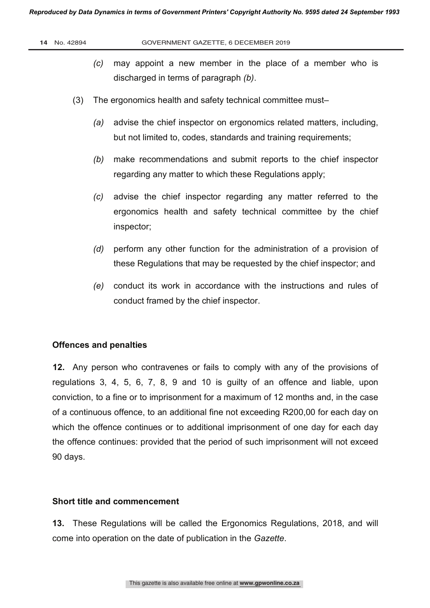- *(c)* may appoint a new member in the place of a member who is discharged in terms of paragraph *(b)*.
- (3) The ergonomics health and safety technical committee must–
	- *(a)* advise the chief inspector on ergonomics related matters, including, but not limited to, codes, standards and training requirements;
	- *(b)* make recommendations and submit reports to the chief inspector regarding any matter to which these Regulations apply;
	- *(c)* advise the chief inspector regarding any matter referred to the ergonomics health and safety technical committee by the chief inspector;
	- *(d)* perform any other function for the administration of a provision of these Regulations that may be requested by the chief inspector; and
	- *(e)* conduct its work in accordance with the instructions and rules of conduct framed by the chief inspector.

#### **Offences and penalties**

**12.** Any person who contravenes or fails to comply with any of the provisions of regulations 3, 4, 5, 6, 7, 8, 9 and 10 is guilty of an offence and liable, upon conviction, to a fine or to imprisonment for a maximum of 12 months and, in the case of a continuous offence, to an additional fine not exceeding R200,00 for each day on which the offence continues or to additional imprisonment of one day for each day the offence continues: provided that the period of such imprisonment will not exceed 90 days.

#### **Short title and commencement**

**13.** These Regulations will be called the Ergonomics Regulations, 2018, and will come into operation on the date of publication in the *Gazette*.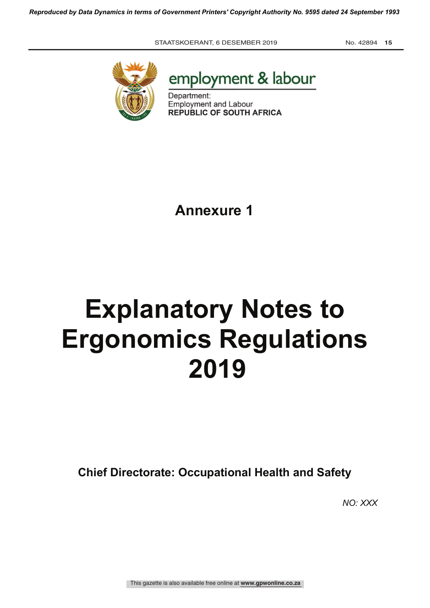



Department: Employment and Labour REPUBLIC OF SOUTH AFRICA

**Annexure 1**

# **Explanatory Notes to Ergonomics Regulations 2019**

**Chief Directorate: Occupational Health and Safety**

*NO: XXX*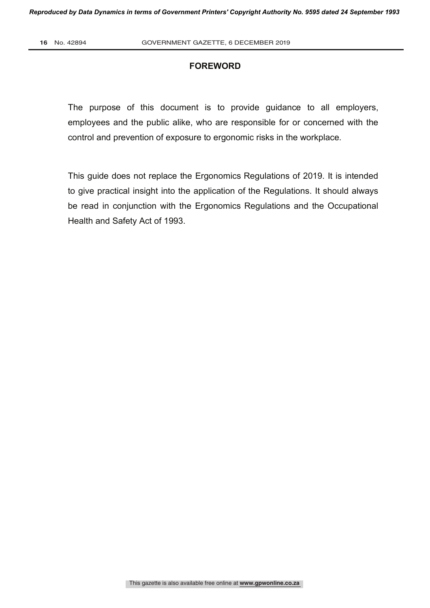#### **FOREWORD**

The purpose of this document is to provide guidance to all employers, employees and the public alike, who are responsible for or concerned with the control and prevention of exposure to ergonomic risks in the workplace.

This guide does not replace the Ergonomics Regulations of 2019. It is intended to give practical insight into the application of the Regulations. It should always be read in conjunction with the Ergonomics Regulations and the Occupational Health and Safety Act of 1993.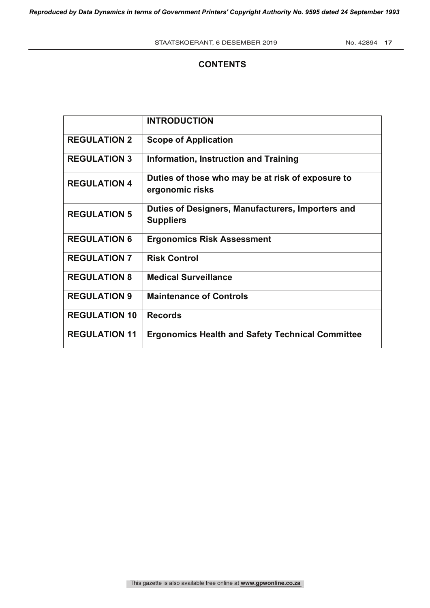## **CONTENTS**

|                      | <b>INTRODUCTION</b>                                                   |
|----------------------|-----------------------------------------------------------------------|
| <b>REGULATION 2</b>  | <b>Scope of Application</b>                                           |
| <b>REGULATION 3</b>  | Information, Instruction and Training                                 |
| <b>REGULATION 4</b>  | Duties of those who may be at risk of exposure to<br>ergonomic risks  |
| <b>REGULATION 5</b>  | Duties of Designers, Manufacturers, Importers and<br><b>Suppliers</b> |
| <b>REGULATION 6</b>  | <b>Ergonomics Risk Assessment</b>                                     |
| <b>REGULATION 7</b>  | <b>Risk Control</b>                                                   |
| <b>REGULATION 8</b>  | <b>Medical Surveillance</b>                                           |
| <b>REGULATION 9</b>  | <b>Maintenance of Controls</b>                                        |
| <b>REGULATION 10</b> | <b>Records</b>                                                        |
| <b>REGULATION 11</b> | <b>Ergonomics Health and Safety Technical Committee</b>               |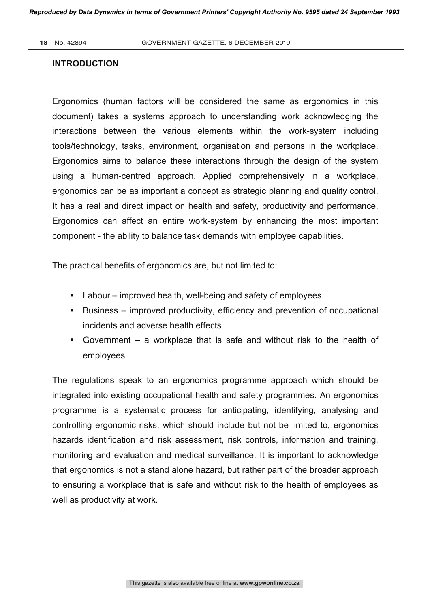#### **INTRODUCTION**

Ergonomics (human factors will be considered the same as ergonomics in this document) takes a systems approach to understanding work acknowledging the interactions between the various elements within the work-system including tools/technology, tasks, environment, organisation and persons in the workplace. Ergonomics aims to balance these interactions through the design of the system using a human-centred approach. Applied comprehensively in a workplace, ergonomics can be as important a concept as strategic planning and quality control. It has a real and direct impact on health and safety, productivity and performance. Ergonomics can affect an entire work-system by enhancing the most important component - the ability to balance task demands with employee capabilities.

The practical benefits of ergonomics are, but not limited to:

- Labour improved health, well-being and safety of employees
- Business improved productivity, efficiency and prevention of occupational incidents and adverse health effects
- § Government a workplace that is safe and without risk to the health of employees

The regulations speak to an ergonomics programme approach which should be integrated into existing occupational health and safety programmes. An ergonomics programme is a systematic process for anticipating, identifying, analysing and controlling ergonomic risks, which should include but not be limited to, ergonomics hazards identification and risk assessment, risk controls, information and training, monitoring and evaluation and medical surveillance. It is important to acknowledge that ergonomics is not a stand alone hazard, but rather part of the broader approach to ensuring a workplace that is safe and without risk to the health of employees as well as productivity at work.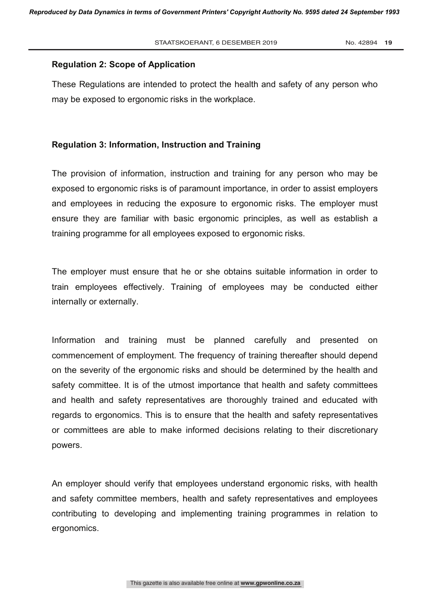#### **Regulation 2: Scope of Application**

These Regulations are intended to protect the health and safety of any person who may be exposed to ergonomic risks in the workplace.

#### **Regulation 3: Information, Instruction and Training**

The provision of information, instruction and training for any person who may be exposed to ergonomic risks is of paramount importance, in order to assist employers and employees in reducing the exposure to ergonomic risks. The employer must ensure they are familiar with basic ergonomic principles, as well as establish a training programme for all employees exposed to ergonomic risks.

The employer must ensure that he or she obtains suitable information in order to train employees effectively. Training of employees may be conducted either internally or externally.

Information and training must be planned carefully and presented on commencement of employment. The frequency of training thereafter should depend on the severity of the ergonomic risks and should be determined by the health and safety committee. It is of the utmost importance that health and safety committees and health and safety representatives are thoroughly trained and educated with regards to ergonomics. This is to ensure that the health and safety representatives or committees are able to make informed decisions relating to their discretionary powers.

An employer should verify that employees understand ergonomic risks, with health and safety committee members, health and safety representatives and employees contributing to developing and implementing training programmes in relation to ergonomics.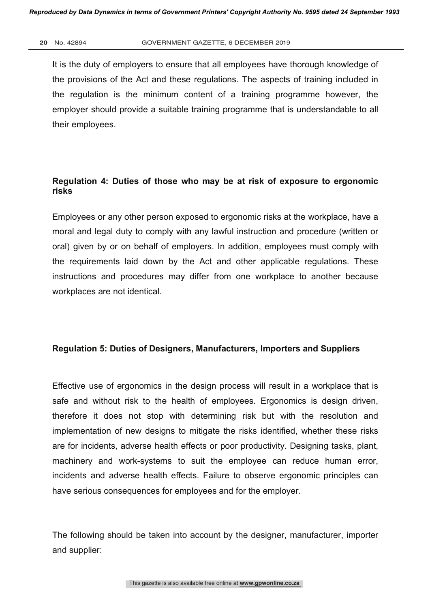#### **20** No. 42894 GOVERNMENT GAZETTE, 6 DECEMBER 2019

It is the duty of employers to ensure that all employees have thorough knowledge of the provisions of the Act and these regulations. The aspects of training included in the regulation is the minimum content of a training programme however, the employer should provide a suitable training programme that is understandable to all their employees.

## **Regulation 4: Duties of those who may be at risk of exposure to ergonomic risks**

Employees or any other person exposed to ergonomic risks at the workplace, have a moral and legal duty to comply with any lawful instruction and procedure (written or oral) given by or on behalf of employers. In addition, employees must comply with the requirements laid down by the Act and other applicable regulations. These instructions and procedures may differ from one workplace to another because workplaces are not identical.

#### **Regulation 5: Duties of Designers, Manufacturers, Importers and Suppliers**

Effective use of ergonomics in the design process will result in a workplace that is safe and without risk to the health of employees. Ergonomics is design driven, therefore it does not stop with determining risk but with the resolution and implementation of new designs to mitigate the risks identified, whether these risks are for incidents, adverse health effects or poor productivity. Designing tasks, plant, machinery and work-systems to suit the employee can reduce human error, incidents and adverse health effects. Failure to observe ergonomic principles can have serious consequences for employees and for the employer.

The following should be taken into account by the designer, manufacturer, importer and supplier: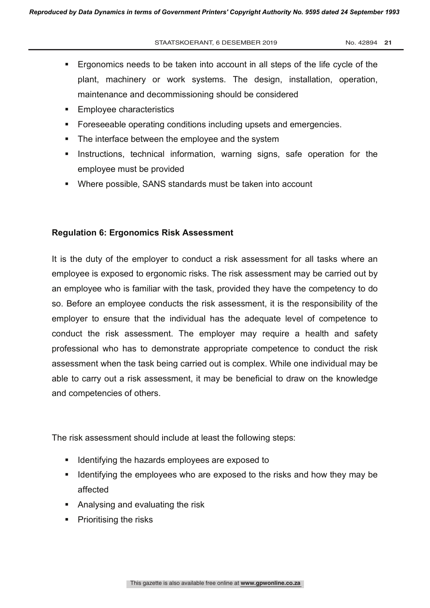- § Ergonomics needs to be taken into account in all steps of the life cycle of the plant, machinery or work systems. The design, installation, operation, maintenance and decommissioning should be considered
- Employee characteristics
- **•** Foreseeable operating conditions including upsets and emergencies.
- The interface between the employee and the system
- **•** Instructions, technical information, warning signs, safe operation for the employee must be provided
- Where possible, SANS standards must be taken into account

### **Regulation 6: Ergonomics Risk Assessment**

It is the duty of the employer to conduct a risk assessment for all tasks where an employee is exposed to ergonomic risks. The risk assessment may be carried out by an employee who is familiar with the task, provided they have the competency to do so. Before an employee conducts the risk assessment, it is the responsibility of the employer to ensure that the individual has the adequate level of competence to conduct the risk assessment. The employer may require a health and safety professional who has to demonstrate appropriate competence to conduct the risk assessment when the task being carried out is complex. While one individual may be able to carry out a risk assessment, it may be beneficial to draw on the knowledge and competencies of others.

The risk assessment should include at least the following steps:

- Identifying the hazards employees are exposed to
- Identifying the employees who are exposed to the risks and how they may be affected
- Analysing and evaluating the risk
- Prioritising the risks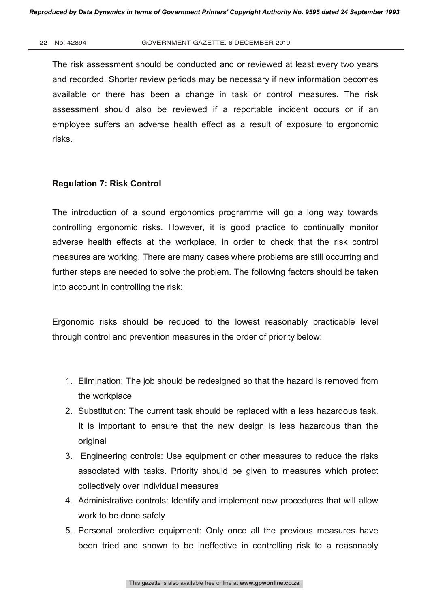#### **22** No. 42894 GOVERNMENT GAZETTE, 6 DECEMBER 2019

The risk assessment should be conducted and or reviewed at least every two years and recorded. Shorter review periods may be necessary if new information becomes available or there has been a change in task or control measures. The risk assessment should also be reviewed if a reportable incident occurs or if an employee suffers an adverse health effect as a result of exposure to ergonomic risks.

#### **Regulation 7: Risk Control**

The introduction of a sound ergonomics programme will go a long way towards controlling ergonomic risks. However, it is good practice to continually monitor adverse health effects at the workplace, in order to check that the risk control measures are working. There are many cases where problems are still occurring and further steps are needed to solve the problem. The following factors should be taken into account in controlling the risk:

Ergonomic risks should be reduced to the lowest reasonably practicable level through control and prevention measures in the order of priority below:

- 1. Elimination: The job should be redesigned so that the hazard is removed from the workplace
- 2. Substitution: The current task should be replaced with a less hazardous task. It is important to ensure that the new design is less hazardous than the original
- 3. Engineering controls: Use equipment or other measures to reduce the risks associated with tasks. Priority should be given to measures which protect collectively over individual measures
- 4. Administrative controls: Identify and implement new procedures that will allow work to be done safely
- 5. Personal protective equipment: Only once all the previous measures have been tried and shown to be ineffective in controlling risk to a reasonably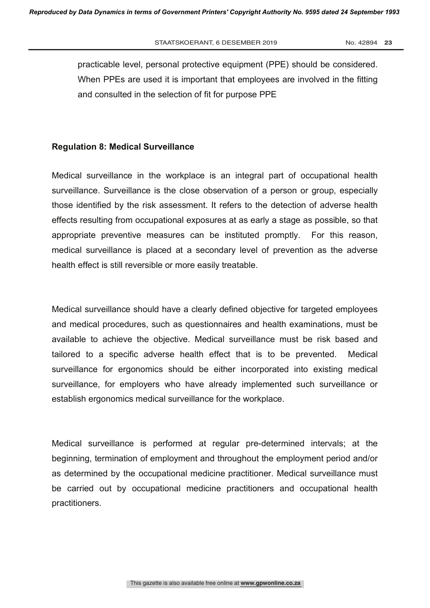practicable level, personal protective equipment (PPE) should be considered. When PPEs are used it is important that employees are involved in the fitting and consulted in the selection of fit for purpose PPE

#### **Regulation 8: Medical Surveillance**

Medical surveillance in the workplace is an integral part of occupational health surveillance. Surveillance is the close observation of a person or group, especially those identified by the risk assessment. It refers to the detection of adverse health effects resulting from occupational exposures at as early a stage as possible, so that appropriate preventive measures can be instituted promptly. For this reason, medical surveillance is placed at a secondary level of prevention as the adverse health effect is still reversible or more easily treatable.

Medical surveillance should have a clearly defined objective for targeted employees and medical procedures, such as questionnaires and health examinations, must be available to achieve the objective. Medical surveillance must be risk based and tailored to a specific adverse health effect that is to be prevented. Medical surveillance for ergonomics should be either incorporated into existing medical surveillance, for employers who have already implemented such surveillance or establish ergonomics medical surveillance for the workplace.

Medical surveillance is performed at regular pre-determined intervals; at the beginning, termination of employment and throughout the employment period and/or as determined by the occupational medicine practitioner. Medical surveillance must be carried out by occupational medicine practitioners and occupational health practitioners.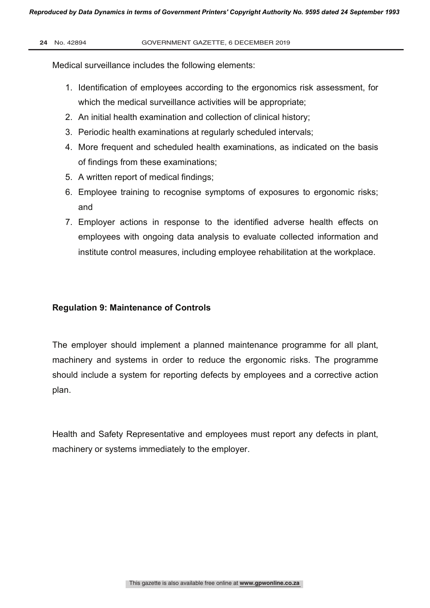Medical surveillance includes the following elements:

- 1. Identification of employees according to the ergonomics risk assessment, for which the medical surveillance activities will be appropriate;
- 2. An initial health examination and collection of clinical history;
- 3. Periodic health examinations at regularly scheduled intervals;
- 4. More frequent and scheduled health examinations, as indicated on the basis of findings from these examinations;
- 5. A written report of medical findings;
- 6. Employee training to recognise symptoms of exposures to ergonomic risks; and
- 7. Employer actions in response to the identified adverse health effects on employees with ongoing data analysis to evaluate collected information and institute control measures, including employee rehabilitation at the workplace.

### **Regulation 9: Maintenance of Controls**

The employer should implement a planned maintenance programme for all plant, machinery and systems in order to reduce the ergonomic risks. The programme should include a system for reporting defects by employees and a corrective action plan.

Health and Safety Representative and employees must report any defects in plant, machinery or systems immediately to the employer.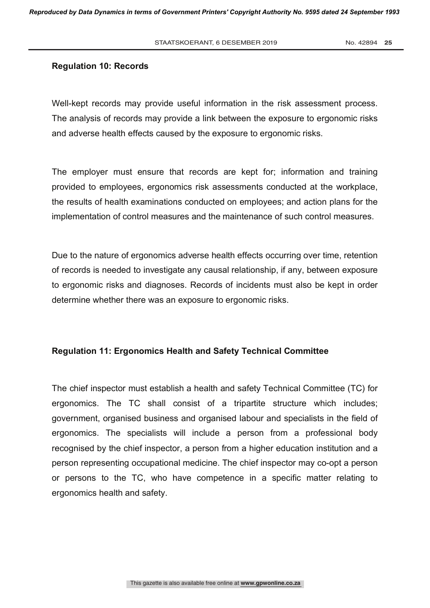#### **Regulation 10: Records**

Well-kept records may provide useful information in the risk assessment process. The analysis of records may provide a link between the exposure to ergonomic risks and adverse health effects caused by the exposure to ergonomic risks.

The employer must ensure that records are kept for; information and training provided to employees, ergonomics risk assessments conducted at the workplace, the results of health examinations conducted on employees; and action plans for the implementation of control measures and the maintenance of such control measures.

Due to the nature of ergonomics adverse health effects occurring over time, retention of records is needed to investigate any causal relationship, if any, between exposure to ergonomic risks and diagnoses. Records of incidents must also be kept in order determine whether there was an exposure to ergonomic risks.

#### **Regulation 11: Ergonomics Health and Safety Technical Committee**

The chief inspector must establish a health and safety Technical Committee (TC) for ergonomics. The TC shall consist of a tripartite structure which includes; government, organised business and organised labour and specialists in the field of ergonomics. The specialists will include a person from a professional body recognised by the chief inspector, a person from a higher education institution and a person representing occupational medicine. The chief inspector may co-opt a person or persons to the TC, who have competence in a specific matter relating to ergonomics health and safety.